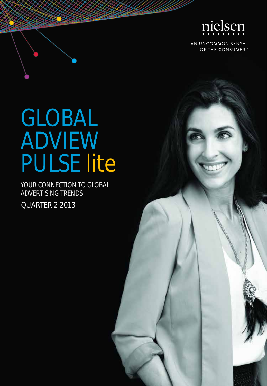

AN UNCOMMON SENSE OF THE CONSUMER<sup>™</sup>

## GLOBAL ADVIEW PULSE lite

YOUR CONNECTION TO GLOBAL ADVERTISING TRENDS

QUARTER 2 2013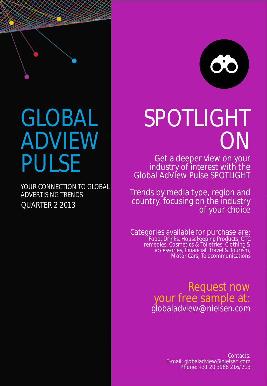

## GLOBAL ADVIEW PULSE

QUARTER 2 2013 YOUR CONNECTION TO GLOBAL ADVERTISING TRENDS

# SPOTLIGHT ON

Get a deeper view on your industry of interest with the Global AdView Pulse SPOTLIGHT

Trends by media type, region and country, focusing on the industry of your choice

Categories available for purchase are: Food, Drinks, Housekeeping Products, OTC remedies, Cosmetics & Toiletries, Clothing & accessories, Financial, Travel & Tourism, Motor Cars, Telecommunications

> Request now your free sample at: globaladview@nielsen.com

> > Contacts: E-mail: globaladview@nielsen.com Phone: +31 20 3988 216/213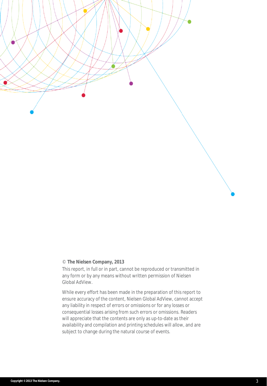

#### © **The Nielsen Company, 2013**

This report, in full or in part, cannot be reproduced or transmitted in any form or by any means without written permission of Nielsen Global AdView.

While every effort has been made in the preparation of this report to ensure accuracy of the content, Nielsen Global AdView, cannot accept any liability in respect of errors or omissions or for any losses or consequential losses arising from such errors or omissions. Readers will appreciate that the contents are only as up-to-date as their availability and compilation and printing schedules will allow, and are subject to change during the natural course of events.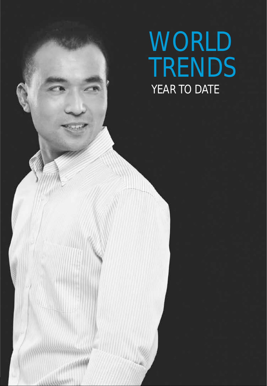## WORLD TRENDS YEAR TO DATE

**Copyright ©2013 The Nielsen Company.** 4

**HARABARA**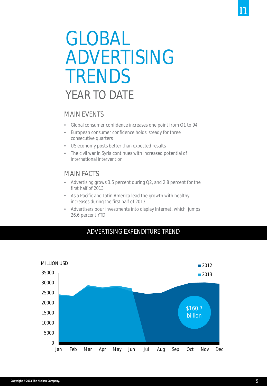## GLOBAL ADVERTISING **TRENDS** YFAR TO DATF

### MAIN EVENTS

- Global consumer confidence increases one point from Q1 to 94
- European consumer confidence holds steady for three consecutive quarters
- US economy posts better than expected results
- The civil war in Syria continues with increased potential of international intervention

### MAIN FACTS

- Advertising grows 3.5 percent during Q2, and 2.8 percent for the first half of 2013
- Asia Pacific and Latin America lead the growth with healthy increases during the first half of 2013
- Advertisers pour investments into display Internet, which jumps 26.6 percent YTD



### ADVERTISING EXPENDITURE TREND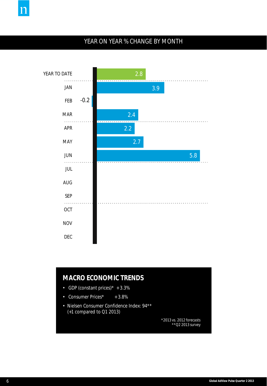

## YEAR ON YEAR % CHANGE BY MONTH



### **MACRO ECONOMIC TRENDS**

- GDP (constant prices) $* + 3.3\%$
- Consumer Prices\* + 3.8%
- Nielsen Consumer Confidence Index: 94\*\* (+1 compared to Q1 2013)

*\*2013 vs. 2012 forecasts \*\*Q2 2013 survey*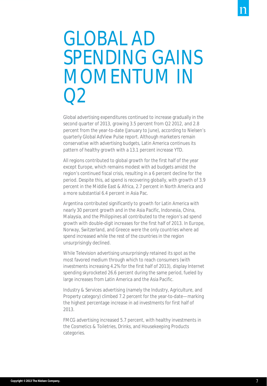## GLOBAL AD SPENDING GAINS MOMENTUM IN  $\bigcap$

Global advertising expenditures continued to increase gradually in the second quarter of 2013, growing 3.5 percent from Q2 2012, and 2.8 percent from the year-to-date (January to June), according to Nielsen's quarterly Global AdView Pulse report. Although marketers remain conservative with advertising budgets, Latin America continues its pattern of healthy growth with a 13.1 percent increase YTD.

All regions contributed to global growth for the first half of the year except Europe, which remains modest with ad budgets amidst the region's continued fiscal crisis, resulting in a 6 percent decline for the period. Despite this, ad spend is recovering globally, with growth of 3.9 percent in the Middle East & Africa, 2.7 percent in North America and a more substantial 6.4 percent in Asia Pac.

Argentina contributed significantly to growth for Latin America with nearly 30 percent growth and in the Asia Pacific, Indonesia, China, Malaysia, and the Philippines all contributed to the region's ad spend growth with double-digit increases for the first half of 2013. In Europe, Norway, Switzerland, and Greece were the only countries where ad spend increased while the rest of the countries in the region unsurprisingly declined.

While Television advertising unsurprisingly retained its spot as the most favored medium through which to reach consumers (with investments increasing 4.2% for the first half of 2013), display Internet spending skyrocketed 26.6 percent during the same period, fueled by large increases from Latin America and the Asia Pacific.

Industry & Services advertising (namely the Industry, Agriculture, and Property category) climbed 7.2 percent for the year-to-date—marking the highest percentage increase in ad investments for first half of 2013.

FMCG advertising increased 5.7 percent, with healthy investments in the Cosmetics & Toiletries, Drinks, and Housekeeping Products categories.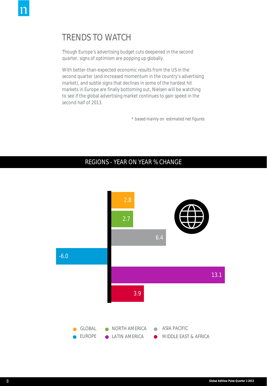## TRENDS TO WATCH

Though Europe's advertising budget cuts deepened in the second quarter, signs of optimism are popping up globally.

With better-than-expected economic results from the US in the second quarter (and increased momentum in the country's advertising market), and subtle signs that declines in some of the hardest hit markets in Europe are finally bottoming out, Nielsen will be watching to see if the global advertising market continues to gain speed in the second half of 2013.

*\* based mainly on estimated net figures*

### REGIONS - YEAR ON YEAR % CHANGE

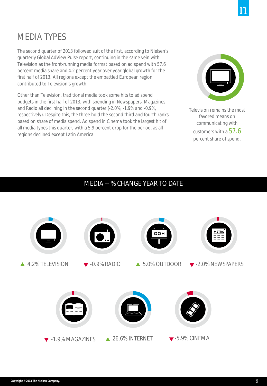## MEDIA TYPES

The second quarter of 2013 followed suit of the first, according to Nielsen's quarterly Global AdView Pulse report, continuing in the same vein with Television as the front-running media format based on ad spend with 57.6 percent media share and 4.2 percent year over year global growth for the first half of 2013. All regions except the embattled European region contributed to Television's growth.

Other than Television, traditional media took some hits to ad spend budgets in the first half of 2013, with spending in Newspapers, Magazines and Radio all declining in the second quarter (-2.0%, -1.9% and -0.9%, respectively). Despite this, the three hold the second third and fourth ranks based on share of media spend. Ad spend in Cinema took the largest hit of all media types this quarter, with a 5.9 percent drop for the period, as all regions declined except Latin America.



Television remains the most favored means on communicating with customers with a  $57.6$ percent share of spend.

## MEDIA -- % CHANGE YEAR TO DATE

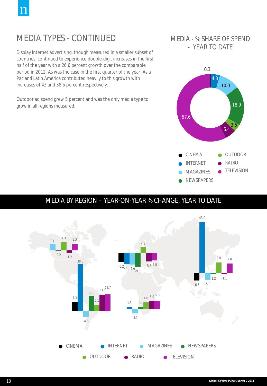## MEDIA TYPES - CONTINUED

Display Internet advertising, though measured in a smaller subset of countries, continued to experience double-digit increases in the first half of the year with a 26.6 percent growth over the comparable period in 2012. As was the case in the first quarter of the year, Asia Pac and Latin America contributed heavily to this growth with increases of 43 and 38.5 percent respectively.

Outdoor ad spend grew 5 percent and was the only media type to grow in all regions measured.

### MEDIA - % SHARE OF SPEND - YEAR TO DATE



## MEDIA BY REGION – YEAR-ON-YEAR % CHANGE, YEAR TO DATE

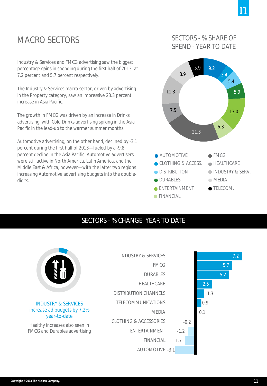## MACRO SECTORS

Industry & Services and FMCG advertising saw the biggest percentage gains in spending during the first half of 2013, at 7.2 percent and 5.7 percent respectively.

The Industry & Services macro sector, driven by advertising in the Property category, saw an impressive 23.3 percent increase in Asia Pacific.

The growth in FMCG was driven by an increase in Drinks advertising, with Cold Drinks advertising spiking in the Asia Pacific in the lead-up to the warmer summer months.

Automotive advertising, on the other hand, declined by -3.1 percent during the first half of 2013—fueled by a -9.8 percent decline in the Asia Pacific. Automotive advertisers were still active in North America, Latin America, and the Middle East & Africa, however—with the latter two regions increasing Automotive advertising budgets into the doubledigits.

## SECTORS - % SHARE OF SPEND - YEAR TO DATE



## SECTORS - % CHANGE YEAR TO DATE

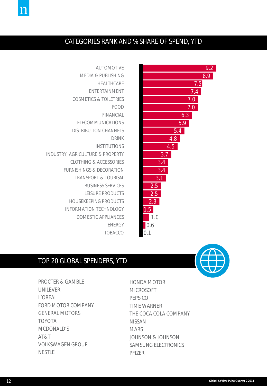

17

## CATEGORIES RANK AND % SHARE OF SPEND, YTD



AUTOMOTIVE MEDIA & PUBLISHING HEALTHCARE ENTERTAINMENT COSMETICS & TOILETRIES FOOD FINANCIAL TELECOMMUNICATIONS DISTRIBUTION CHANNELS DRINK INSTITUTIONS INDUSTRY, AGRICULTURE & PROPERTY CLOTHING & ACCESSORIES FURNISHINGS & DECORATION TRANSPORT & TOURISM BUSINESS SERVICES LEISURE PRODUCTS HOUSEKEEPING PRODUCTS INFORMATION TECHNOLOGY DOMESTIC APPLIANCES ENERGY TOBACCO

### TOP 20 GLOBAL SPENDERS, YTD

PROCTER & GAMBLE UNILEVER L'OREAL FORD MOTOR COMPANY GENERAL MOTORS TOYOTA MCDONALD'S AT&T VOLKSWAGEN GROUP NESTLE

HONDA MOTOR MICROSOFT **PEPSICO** TIME WARNER THE COCA COLA COMPANY NISSAN **MARS** JOHNSON & JOHNSON SAMSUNG ELECTRONICS PFIZER



9.2 8.9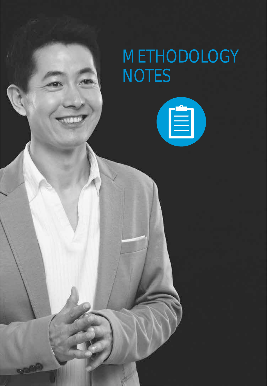## METHODOLOGY **NOTES**

(E)

**Copyright ©2013 The Nielsen Company.** 13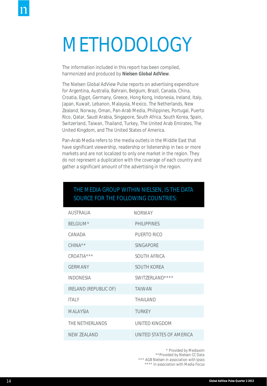## METHODOLOGY

The information included in this report has been compiled, harmonized and produced by **Nielsen Global AdView**.

The Nielsen Global AdView Pulse reports on advertising expenditure for Argentina, Australia, Bahrain, Belgium, Brazil, Canada, China, Croatia, Egypt, Germany, Greece, Hong Kong, Indonesia, Ireland, Italy, Japan, Kuwait, Lebanon, Malaysia, Mexico, The Netherlands, New Zealand, Norway, Oman, Pan-Arab Media, Philippines, Portugal, Puerto Rico, Qatar, Saudi Arabia, Singapore, South Africa, South Korea, Spain, Switzerland, Taiwan, Thailand, Turkey, The United Arab Emirates, The United Kingdom, and The United States of America.

Pan-Arab Media refers to the media outlets in the Middle East that have significant viewership, readership or listenership in two or more markets and are not localized to only one market in the region. They do not represent a duplication with the coverage of each country and gather a significant amount of the advertising in the region.

| <b>AUSTRALIA</b>             | <b>NORWAY</b>            |
|------------------------------|--------------------------|
| BELGIUM*                     | PHII IPPINES             |
| CANADA                       | PUERTO RICO              |
| $CHINA**$                    | <b>SINGAPORE</b>         |
| CROATIA***                   | <b>SOUTH AFRICA</b>      |
| <b>GERMANY</b>               | <b>SOUTH KOREA</b>       |
| <b>INDONESIA</b>             | SWITZERLAND****          |
| <b>IRELAND (REPUBLIC OF)</b> | <b>TAIWAN</b>            |
| <b>ITALY</b>                 | <b>THAILAND</b>          |
| <b>MALAYSIA</b>              | <b>TURKEY</b>            |
| THE NETHERLANDS              | UNITED KINGDOM           |
| NFW 7FAI AND                 | UNITED STATES OF AMERICA |

### THE MEDIA GROUP WITHIN NIELSEN, IS THE DATA SOURCE FOR THE FOLLOWING COUNTRIES:

*\* Provided by Mediaxim \*\*Provided by Nielsen CC Data \*\*\* AGB Nielsen in association with Ipsos \*\*\*\* In association with Media Focus*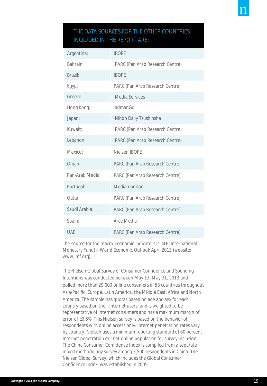### THE DATA SOURCES FOR THE OTHER COUNTRIES INCLUDED IN THE REPORT ARE:

| Argentina:      | <b>IBOPE</b>                    |
|-----------------|---------------------------------|
| <b>Bahrain</b>  | PARC (Pan Arab Research Centre) |
| Brazil:         | <b>IBOPE</b>                    |
| Egypt:          | PARC (Pan Arab Research Centre) |
| Greece:         | Media Services                  |
| Hong Kong:      | admanGo                         |
| Japan:          | Nihon Daily Tsushinsha          |
| Kuwait:         | PARC (Pan Arab Research Centre) |
| Lebanon:        | PARC (Pan Arab Research Centre) |
| Mexico:         | Nielsen IBOPE                   |
| Oman            | PARC (Pan Arab Research Centre) |
| Pan-Arab Media: | PARC (Pan Arab Research Centre) |
| Portugal:       | Mediamonitor                    |
| Oatar           | PARC (Pan Arab Research Centre) |
| Saudi Arabia:   | PARC (Pan Arab Research Centre) |
| Spain:          | Arce Media                      |
| UAE:            | PARC (Pan Arab Research Centre) |

The source for the macro-economic indicators is IMF (International Monetary Fund) – World Economic Outlook April 2013 (website: [www.imf.org\)](http://www.imf.org/).

The Nielsen Global Survey of Consumer Confidence and Spending Intentions was conducted between May 13–May 31, 2013 and polled more than 29,000 online consumers in 58 countries throughout Asia-Pacific, Europe, Latin America, the Middle East, Africa and North America. The sample has quotas based on age and sex for each country based on their Internet users, and is weighted to be representative of Internet consumers and has a maximum margin of error of ±0.6%. This Nielsen survey is based on the behavior of respondents with online access only. Internet penetration rates vary by country. Nielsen uses a minimum reporting standard of 60 percent Internet penetration or 10M online population for survey inclusion. The China Consumer Confidence Index is compiled from a separate mixed methodology survey among 3,500 respondents in China. The Nielsen Global Survey, which includes the Global Consumer Confidence Index, was established in 2005.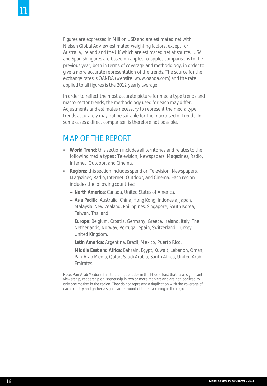Figures are expressed in Million USD and are estimated net with Nielsen Global AdView estimated weighting factors, except for Australia, Ireland and the UK which are estimated net at source. USA and Spanish figures are based on apples-to-apples comparisons to the previous year, both in terms of coverage and methodology, in order to give a more accurate representation of the trends. The source for the exchange rates is OANDA (website: www.oanda.com) and the rate applied to all figures is the 2012 yearly average.

In order to reflect the most accurate picture for media type trends and macro-sector trends, the methodology used for each may differ. Adjustments and estimates necessary to represent the media type trends accurately may not be suitable for the macro-sector trends. In some cases a direct comparison is therefore not possible.

## MAP OF THE REPORT

- **World Trend:** this section includes all territories and relates to the following media types : Television, Newspapers, Magazines, Radio, Internet, Outdoor, and Cinema.
- **Regions:** this section includes spend on Television, Newspapers, Magazines, Radio, Internet, Outdoor, and Cinema. Each region includes the following countries:
	- **North America**: Canada, United States of America.
	- **Asia Pacific**: Australia, China, Hong Kong, Indonesia, Japan, Malaysia, New Zealand, Philippines, Singapore, South Korea, Taiwan, Thailand.
	- **Europe**: Belgium, Croatia, Germany, Greece, Ireland, Italy, The Netherlands, Norway, Portugal, Spain, Switzerland, Turkey, United Kingdom.
	- **Latin America:** Argentina, Brazil, Mexico, Puerto Rico.
	- **Middle East and Africa**: Bahrain, Egypt, Kuwait, Lebanon, Oman, Pan-Arab Media, Qatar, Saudi Arabia, South Africa, United Arab Emirates.

*Note: Pan-Arab Media refers to the media titles in the Middle East that have significant viewership, readership or listenership in two or more markets and are not localized to only one market in the region. They do not represent a duplication with the coverage of each country and gather a significant amount of the advertising in the region.*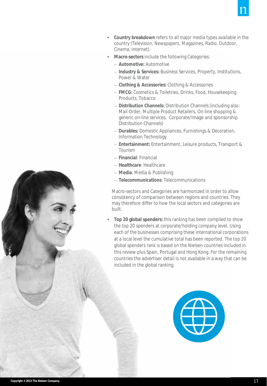

- **Country breakdown** refers to all major media types available in the country (Television, Newspapers, Magazines, Radio, Outdoor, Cinema, Internet).
- **Macro-sectors** include the following Categories:
	- **Automotive:** Automotive
	- **Industry & Services:** Business Services, Property, Institutions, Power & Water
	- **Clothing & Accessories:** Clothing & Accessories
	- **FMCG:** Cosmetics & Toiletries, Drinks, Food, Housekeeping Products, Tobacco
	- **Distribution Channels:** Distribution Channels (including also: Mail Order, Multiple Product Retailers, On-line shopping & generic on-line services, Corporate/Image and sponsorship Distribution Channels)
	- **Durables:** Domestic Appliances, Furnishings & Decoration, Information Technology
	- **Entertainment:** Entertainment, Leisure products, Transport & Tourism
	- **Financial**: Financial
	- **Healthcare**: Healthcare
	- **Media**: Media & Publishing
	- **Telecommunications**: Telecommunications

Macro-sectors and Categories are harmonized in order to allow consistency of comparison between regions and countries. They may therefore differ to how the local sectors and categories are built.

• **Top 20 global spenders:** this ranking has been compiled to show the top 20 spenders at corporate/holding company level. Using each of the businesses comprising these international corporations at a local level the cumulative total has been reported. The top 20 global spenders rank is based on the Nielsen countries included in this review plus Spain, Portugal and Hong Kong. For the remaining countries the advertiser detail is not available in a way that can be included in the global ranking.



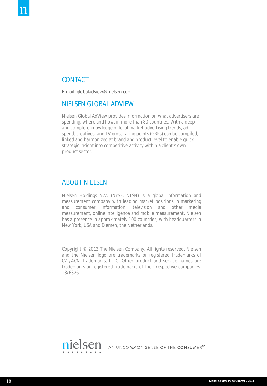### **CONTACT**

E-mail: globaladview@nielsen.com

#### NIELSEN GLOBAL ADVIEW

Nielsen Global AdView provides information on what advertisers are spending, where and how, in more than 80 countries. With a deep and complete knowledge of local market advertising trends, ad spend, creatives, and TV gross rating points (GRPs) can be compiled, linked and harmonized at brand and product level to enable quick strategic insight into competitive activity within a client's own product sector.

#### ABOUT NIELSEN

Nielsen Holdings N.V. (NYSE: NLSN) is a global information and measurement company with leading market positions in marketing and consumer information, television and other media measurement, online intelligence and mobile measurement. Nielsen has a presence in approximately 100 countries, with headquarters in New York, USA and Diemen, the Netherlands.

Copyright © 2013 The Nielsen Company. All rights reserved. Nielsen and the Nielsen logo are trademarks or registered trademarks of CZT/ACN Trademarks, L.L.C. Other product and service names are trademarks or registered trademarks of their respective companies. 13/6326



AN UNCOMMON SENSE OF THE CONSUMER<sup>TM</sup>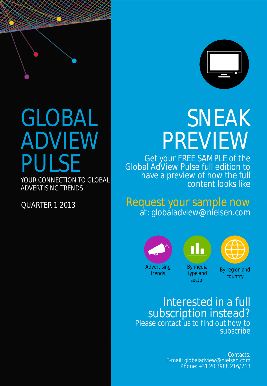

# GLOBAL ADVIEW PULSE

YOUR CONNECTION TO GLOBAL ADVERTISING TRENDS

QUARTER 1 2013



## SNEAK PREVIEW

Get your FREE SAMPLE of the Global AdView Pulse full edition to have a preview of how the full content looks like

Request your sample now at: globaladview@nielsen.com



19 **Global AdView Pulse Quarter 2 2013**





trends

By media type and sector

By region and country

Interested in a full subscription instead? Please contact us to find out how to subscribe

> Contacts: E-mail: globaladview@nielsen.com Phone: +31 20 3988 216/213